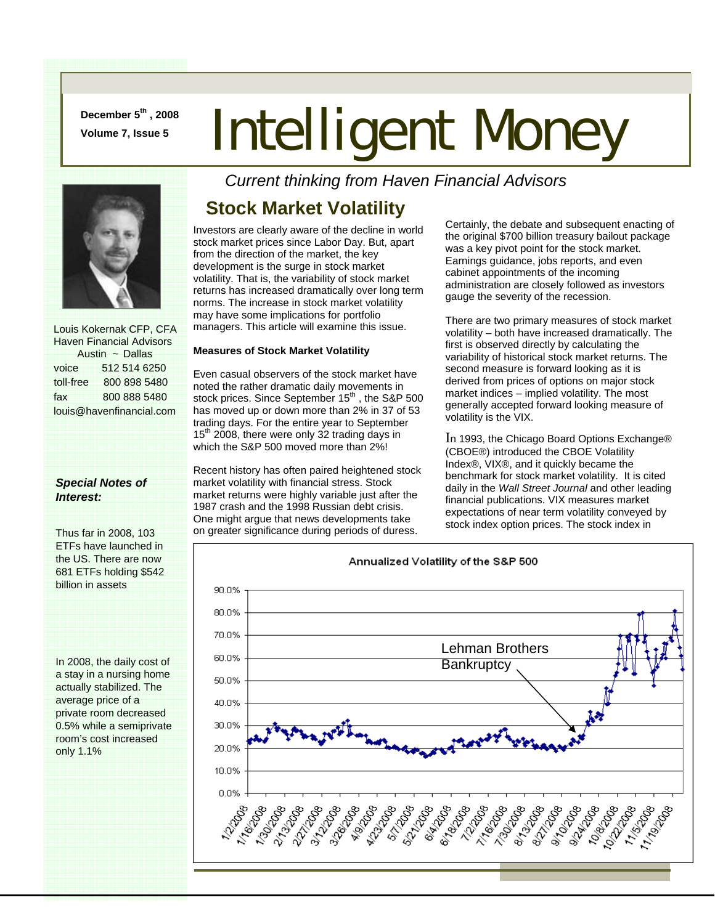**December 5th , 2008** 

# **December 5<sup>m</sup>, 2008</del> Intelligent Money**



 Louis Kokernak CFP, CFA Haven Financial Advisors Austin ~ Dallas voice 512 514 6250 toll-free 800 898 5480 fax 800 888 5480 louis@havenfinancial.com

#### *Special Notes of Interest:*

Thus far in 2008, 103 ETFs have launched in the US. There are now 681 ETFs holding \$542 billion in assets

In 2008, the daily cost of a stay in a nursing home actually stabilized. The average price of a private room decreased 0.5% while a semiprivate room's cost increased only 1.1%

*Current thinking from Haven Financial Advisors* 

## **Stock Market Volatility**

Investors are clearly aware of the decline in world stock market prices since Labor Day. But, apart from the direction of the market, the key development is the surge in stock market volatility. That is, the variability of stock market returns has increased dramatically over long term norms. The increase in stock market volatility may have some implications for portfolio managers. This article will examine this issue.

#### **Measures of Stock Market Volatility**

Even casual observers of the stock market have noted the rather dramatic daily movements in stock prices. Since September 15<sup>th</sup>, the S&P 500 has moved up or down more than 2% in 37 of 53 trading days. For the entire year to September  $15<sup>th</sup>$  2008, there were only 32 trading days in which the S&P 500 moved more than 2%!

Recent history has often paired heightened stock market volatility with financial stress. Stock market returns were highly variable just after the 1987 crash and the 1998 Russian debt crisis. One might argue that news developments take on greater significance during periods of duress.

Certainly, the debate and subsequent enacting of the original \$700 billion treasury bailout package was a key pivot point for the stock market. Earnings guidance, jobs reports, and even cabinet appointments of the incoming administration are closely followed as investors gauge the severity of the recession.

There are two primary measures of stock market volatility – both have increased dramatically. The first is observed directly by calculating the variability of historical stock market returns. The second measure is forward looking as it is derived from prices of options on major stock market indices – implied volatility. The most generally accepted forward looking measure of volatility is the VIX.

In 1993, the Chicago Board Options Exchange® (CBOE®) introduced the CBOE Volatility Index®, VIX®, and it quickly became the benchmark for stock market volatility. It is cited daily in the *Wall Street Journal* and other leading financial publications. VIX measures market expectations of near term volatility conveyed by stock index option prices. The stock index in